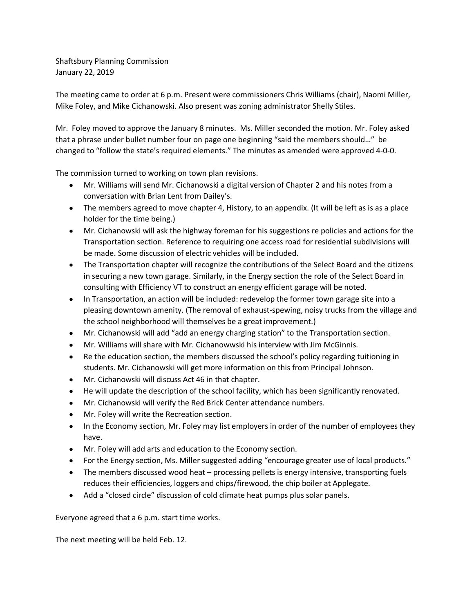Shaftsbury Planning Commission January 22, 2019

The meeting came to order at 6 p.m. Present were commissioners Chris Williams (chair), Naomi Miller, Mike Foley, and Mike Cichanowski. Also present was zoning administrator Shelly Stiles.

Mr. Foley moved to approve the January 8 minutes. Ms. Miller seconded the motion. Mr. Foley asked that a phrase under bullet number four on page one beginning "said the members should…" be changed to "follow the state's required elements." The minutes as amended were approved 4-0-0.

The commission turned to working on town plan revisions.

- Mr. Williams will send Mr. Cichanowski a digital version of Chapter 2 and his notes from a conversation with Brian Lent from Dailey's.
- The members agreed to move chapter 4, History, to an appendix. (It will be left as is as a place holder for the time being.)
- Mr. Cichanowski will ask the highway foreman for his suggestions re policies and actions for the Transportation section. Reference to requiring one access road for residential subdivisions will be made. Some discussion of electric vehicles will be included.
- The Transportation chapter will recognize the contributions of the Select Board and the citizens in securing a new town garage. Similarly, in the Energy section the role of the Select Board in consulting with Efficiency VT to construct an energy efficient garage will be noted.
- In Transportation, an action will be included: redevelop the former town garage site into a pleasing downtown amenity. (The removal of exhaust-spewing, noisy trucks from the village and the school neighborhood will themselves be a great improvement.)
- Mr. Cichanowski will add "add an energy charging station" to the Transportation section.
- Mr. Williams will share with Mr. Cichanowwski his interview with Jim McGinnis.
- Re the education section, the members discussed the school's policy regarding tuitioning in students. Mr. Cichanowski will get more information on this from Principal Johnson.
- Mr. Cichanowski will discuss Act 46 in that chapter.
- He will update the description of the school facility, which has been significantly renovated.
- Mr. Cichanowski will verify the Red Brick Center attendance numbers.
- Mr. Foley will write the Recreation section.
- In the Economy section, Mr. Foley may list employers in order of the number of employees they have.
- Mr. Foley will add arts and education to the Economy section.
- For the Energy section, Ms. Miller suggested adding "encourage greater use of local products."
- The members discussed wood heat processing pellets is energy intensive, transporting fuels reduces their efficiencies, loggers and chips/firewood, the chip boiler at Applegate.
- Add a "closed circle" discussion of cold climate heat pumps plus solar panels.

Everyone agreed that a 6 p.m. start time works.

The next meeting will be held Feb. 12.